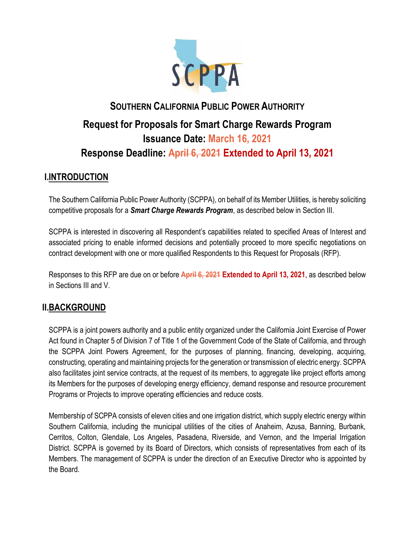

# **SOUTHERN CALIFORNIA PUBLIC POWER AUTHORITY Request for Proposals for Smart Charge Rewards Program Issuance Date: March 16, 2021 Response Deadline: April 6, 2021 Extended to April 13, 2021**

# **I.INTRODUCTION**

The Southern California Public Power Authority (SCPPA), on behalf of its Member Utilities, is hereby soliciting competitive proposals for a *Smart Charge Rewards Program*, as described below in Section III.

SCPPA is interested in discovering all Respondent's capabilities related to specified Areas of Interest and associated pricing to enable informed decisions and potentially proceed to more specific negotiations on contract development with one or more qualified Respondents to this Request for Proposals (RFP).

Responses to this RFP are due on or before **April 6, 2021 Extended to April 13, 2021**, as described below in Sections III and V.

# **II.BACKGROUND**

SCPPA is a joint powers authority and a public entity organized under the California Joint Exercise of Power Act found in Chapter 5 of Division 7 of Title 1 of the Government Code of the State of California, and through the SCPPA Joint Powers Agreement, for the purposes of planning, financing, developing, acquiring, constructing, operating and maintaining projects for the generation or transmission of electric energy. SCPPA also facilitates joint service contracts, at the request of its members, to aggregate like project efforts among its Members for the purposes of developing energy efficiency, demand response and resource procurement Programs or Projects to improve operating efficiencies and reduce costs.

Membership of SCPPA consists of eleven cities and one irrigation district, which supply electric energy within Southern California, including the municipal utilities of the cities of Anaheim, Azusa, Banning, Burbank, Cerritos, Colton, Glendale, Los Angeles, Pasadena, Riverside, and Vernon, and the Imperial Irrigation District. SCPPA is governed by its Board of Directors, which consists of representatives from each of its Members. The management of SCPPA is under the direction of an Executive Director who is appointed by the Board.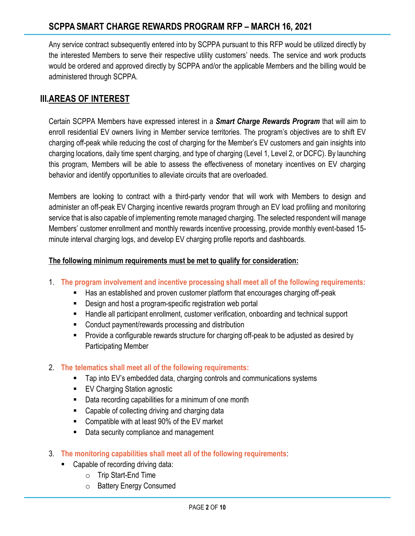Any service contract subsequently entered into by SCPPA pursuant to this RFP would be utilized directly by the interested Members to serve their respective utility customers' needs. The service and work products would be ordered and approved directly by SCPPA and/or the applicable Members and the billing would be administered through SCPPA.

# **III.AREAS OF INTEREST**

Certain SCPPA Members have expressed interest in a *Smart Charge Rewards Program* that will aim to enroll residential EV owners living in Member service territories. The program's objectives are to shift EV charging off-peak while reducing the cost of charging for the Member's EV customers and gain insights into charging locations, daily time spent charging, and type of charging (Level 1, Level 2, or DCFC). By launching this program, Members will be able to assess the effectiveness of monetary incentives on EV charging behavior and identify opportunities to alleviate circuits that are overloaded.

Members are looking to contract with a third-party vendor that will work with Members to design and administer an off-peak EV Charging incentive rewards program through an EV load profiling and monitoring service that is also capable of implementing remote managed charging. The selected respondent will manage Members' customer enrollment and monthly rewards incentive processing, provide monthly event-based 15 minute interval charging logs, and develop EV charging profile reports and dashboards.

#### **The following minimum requirements must be met to qualify for consideration:**

- 1. **The program involvement and incentive processing shall meet all of the following requirements:**
	- Has an established and proven customer platform that encourages charging off-peak
	- Design and host a program-specific registration web portal
	- Handle all participant enrollment, customer verification, onboarding and technical support
	- Conduct payment/rewards processing and distribution
	- Provide a configurable rewards structure for charging off-peak to be adjusted as desired by Participating Member
- 2. **The telematics shall meet all of the following requirements:**
	- Tap into EV's embedded data, charging controls and communications systems
	- EV Charging Station agnostic
	- Data recording capabilities for a minimum of one month
	- Capable of collecting driving and charging data
	- Compatible with at least 90% of the EV market
	- Data security compliance and management
- 3. **The monitoring capabilities shall meet all of the following requirements**:
	- Capable of recording driving data:
		- o Trip Start-End Time
		- o Battery Energy Consumed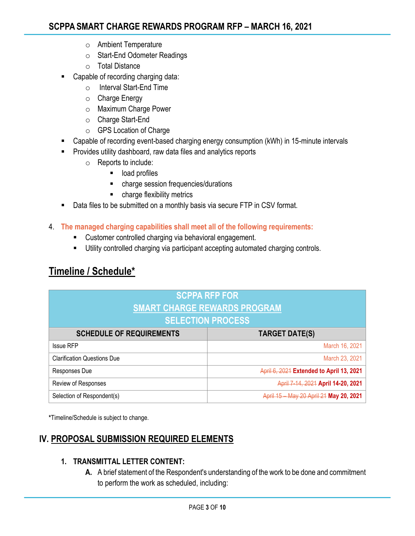- o Ambient Temperature
- o Start-End Odometer Readings
- o Total Distance
- Capable of recording charging data:
	- o Interval Start-End Time
	- o Charge Energy
	- o Maximum Charge Power
	- o Charge Start-End
	- o GPS Location of Charge
- Capable of recording event-based charging energy consumption (kWh) in 15-minute intervals
- **EXEDENT** Provides utility dashboard, raw data files and analytics reports
	- o Reports to include:
		- load profiles
		- charge session frequencies/durations
		- charge flexibility metrics
- Data files to be submitted on a monthly basis via secure FTP in CSV format.
- 4. **The managed charging capabilities shall meet all of the following requirements:**
	- Customer controlled charging via behavioral engagement.
	- **■** Utility controlled charging via participant accepting automated charging controls.

# **Timeline / Schedule\***

| <b>SCPPA RFP FOR</b><br><b>SMART CHARGE REWARDS PROGRAM</b> |                                          |
|-------------------------------------------------------------|------------------------------------------|
| <b>SELECTION PROCESS</b>                                    |                                          |
| <b>SCHEDULE OF REQUIREMENTS</b>                             | <b>TARGET DATE(S)</b>                    |
| <b>Issue RFP</b>                                            | March 16, 2021                           |
| <b>Clarification Questions Due</b>                          | March 23, 2021                           |
| Responses Due                                               | April 6, 2021 Extended to April 13, 2021 |
| Review of Responses                                         | April 7-14, 2021 April 14-20, 2021       |
| Selection of Respondent(s)                                  | April 15 - May 20 April 21 May 20, 2021  |

**\***Timeline/Schedule is subject to change.

# **IV. PROPOSAL SUBMISSION REQUIRED ELEMENTS**

#### **1. TRANSMITTAL LETTER CONTENT:**

**A.** A brief statement of the Respondent's understanding of the work to be done and commitment to perform the work as scheduled, including: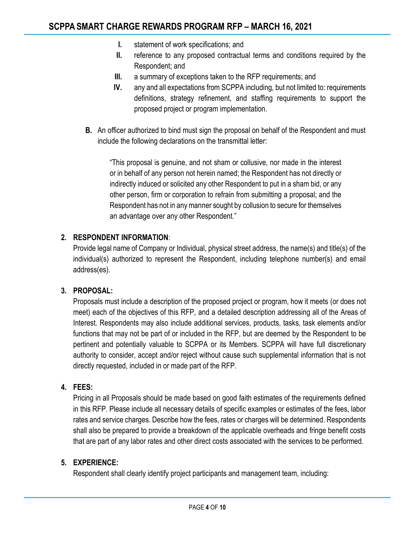- **I.** statement of work specifications; and
- **II.** reference to any proposed contractual terms and conditions required by the Respondent; and
- **III.** a summary of exceptions taken to the RFP requirements; and
- **IV.** any and all expectations from SCPPA including, but not limited to: requirements definitions, strategy refinement, and staffing requirements to support the proposed project or program implementation.
- **B.** An officer authorized to bind must sign the proposal on behalf of the Respondent and must include the following declarations on the transmittal letter:

"This proposal is genuine, and not sham or collusive, nor made in the interest or in behalf of any person not herein named; the Respondent has not directly or indirectly induced or solicited any other Respondent to put in a sham bid, or any other person, firm or corporation to refrain from submitting a proposal; and the Respondent has not in any manner sought by collusion to secure for themselves an advantage over any other Respondent."

#### **2. RESPONDENT INFORMATION**:

Provide legal name of Company or Individual, physical street address, the name(s) and title(s) of the individual(s) authorized to represent the Respondent, including telephone number(s) and email address(es).

#### **3. PROPOSAL:**

Proposals must include a description of the proposed project or program, how it meets (or does not meet) each of the objectives of this RFP, and a detailed description addressing all of the Areas of Interest. Respondents may also include additional services, products, tasks, task elements and/or functions that may not be part of or included in the RFP, but are deemed by the Respondent to be pertinent and potentially valuable to SCPPA or its Members. SCPPA will have full discretionary authority to consider, accept and/or reject without cause such supplemental information that is not directly requested, included in or made part of the RFP.

#### **4. FEES:**

Pricing in all Proposals should be made based on good faith estimates of the requirements defined in this RFP. Please include all necessary details of specific examples or estimates of the fees, labor rates and service charges. Describe how the fees, rates or charges will be determined. Respondents shall also be prepared to provide a breakdown of the applicable overheads and fringe benefit costs that are part of any labor rates and other direct costs associated with the services to be performed.

#### **5. EXPERIENCE:**

Respondent shall clearly identify project participants and management team, including: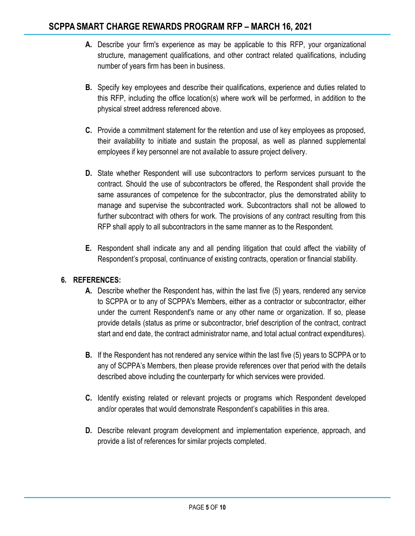- **A.** Describe your firm's experience as may be applicable to this RFP, your organizational structure, management qualifications, and other contract related qualifications, including number of years firm has been in business.
- **B.** Specify key employees and describe their qualifications, experience and duties related to this RFP, including the office location(s) where work will be performed, in addition to the physical street address referenced above.
- **C.** Provide a commitment statement for the retention and use of key employees as proposed, their availability to initiate and sustain the proposal, as well as planned supplemental employees if key personnel are not available to assure project delivery.
- **D.** State whether Respondent will use subcontractors to perform services pursuant to the contract. Should the use of subcontractors be offered, the Respondent shall provide the same assurances of competence for the subcontractor, plus the demonstrated ability to manage and supervise the subcontracted work. Subcontractors shall not be allowed to further subcontract with others for work. The provisions of any contract resulting from this RFP shall apply to all subcontractors in the same manner as to the Respondent.
- **E.** Respondent shall indicate any and all pending litigation that could affect the viability of Respondent's proposal, continuance of existing contracts, operation or financial stability.

#### **6. REFERENCES:**

- **A.** Describe whether the Respondent has, within the last five (5) years, rendered any service to SCPPA or to any of SCPPA's Members, either as a contractor or subcontractor, either under the current Respondent's name or any other name or organization. If so, please provide details (status as prime or subcontractor, brief description of the contract, contract start and end date, the contract administrator name, and total actual contract expenditures).
- **B.** If the Respondent has not rendered any service within the last five (5) years to SCPPA or to any of SCPPA's Members, then please provide references over that period with the details described above including the counterparty for which services were provided.
- **C.** Identify existing related or relevant projects or programs which Respondent developed and/or operates that would demonstrate Respondent's capabilities in this area.
- **D.** Describe relevant program development and implementation experience, approach, and provide a list of references for similar projects completed.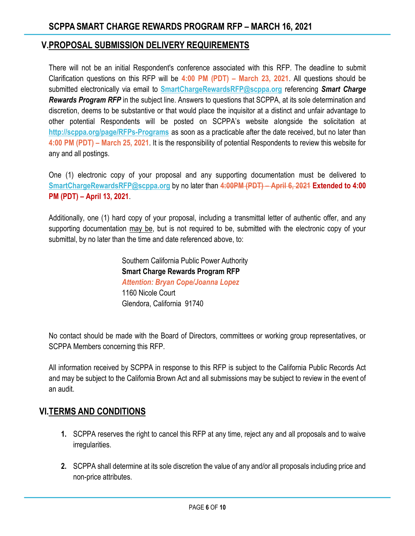#### **V.PROPOSAL SUBMISSION DELIVERY REQUIREMENTS**

There will not be an initial Respondent's conference associated with this RFP. The deadline to submit Clarification questions on this RFP will be **4:00 PM (PDT) – March 23, 2021**. All questions should be submitted electronically via email to **[SmartChargeRewardsRFP@scppa.org](mailto:SmartChargeRewardsRFP@scppa.org)** referencing *Smart Charge Rewards Program RFP* in the subject line. Answers to questions that SCPPA, at its sole determination and discretion, deems to be substantive or that would place the inquisitor at a distinct and unfair advantage to other potential Respondents will be posted on SCPPA's website alongside the solicitation at **<http://scppa.org/page/RFPs-Programs>** as soon as a practicable after the date received, but no later than **4:00 PM (PDT) – March 25, 2021**. It is the responsibility of potential Respondents to review this website for any and all postings.

One (1) electronic copy of your proposal and any supporting documentation must be delivered to **[SmartChargeRewardsRFP@scppa.org](mailto:SmartChargeRewardsRFP@scppa.org)** by no later than **4:00PM (PDT) – April 6, 2021 Extended to 4:00 PM (PDT) – April 13, 2021**.

Additionally, one (1) hard copy of your proposal, including a transmittal letter of authentic offer, and any supporting documentation may be, but is not required to be, submitted with the electronic copy of your submittal, by no later than the time and date referenced above, to:

> Southern California Public Power Authority **Smart Charge Rewards Program RFP**  *Attention: Bryan Cope/Joanna Lopez* 1160 Nicole Court Glendora, California 91740

No contact should be made with the Board of Directors, committees or working group representatives, or SCPPA Members concerning this RFP.

All information received by SCPPA in response to this RFP is subject to the California Public Records Act and may be subject to the California Brown Act and all submissions may be subject to review in the event of an audit.

#### **VI.TERMS AND CONDITIONS**

- **1.** SCPPA reserves the right to cancel this RFP at any time, reject any and all proposals and to waive irregularities.
- **2.** SCPPA shall determine at its sole discretion the value of any and/or all proposals including price and non-price attributes.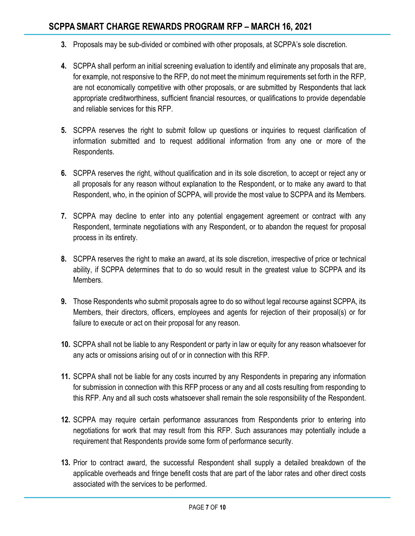- **3.** Proposals may be sub-divided or combined with other proposals, at SCPPA's sole discretion.
- **4.** SCPPA shall perform an initial screening evaluation to identify and eliminate any proposals that are, for example, not responsive to the RFP, do not meet the minimum requirements set forth in the RFP, are not economically competitive with other proposals, or are submitted by Respondents that lack appropriate creditworthiness, sufficient financial resources, or qualifications to provide dependable and reliable services for this RFP.
- **5.** SCPPA reserves the right to submit follow up questions or inquiries to request clarification of information submitted and to request additional information from any one or more of the Respondents.
- **6.** SCPPA reserves the right, without qualification and in its sole discretion, to accept or reject any or all proposals for any reason without explanation to the Respondent, or to make any award to that Respondent, who, in the opinion of SCPPA, will provide the most value to SCPPA and its Members.
- **7.** SCPPA may decline to enter into any potential engagement agreement or contract with any Respondent, terminate negotiations with any Respondent, or to abandon the request for proposal process in its entirety.
- **8.** SCPPA reserves the right to make an award, at its sole discretion, irrespective of price or technical ability, if SCPPA determines that to do so would result in the greatest value to SCPPA and its Members.
- **9.** Those Respondents who submit proposals agree to do so without legal recourse against SCPPA, its Members, their directors, officers, employees and agents for rejection of their proposal(s) or for failure to execute or act on their proposal for any reason.
- **10.** SCPPA shall not be liable to any Respondent or party in law or equity for any reason whatsoever for any acts or omissions arising out of or in connection with this RFP.
- **11.** SCPPA shall not be liable for any costs incurred by any Respondents in preparing any information for submission in connection with this RFP process or any and all costs resulting from responding to this RFP. Any and all such costs whatsoever shall remain the sole responsibility of the Respondent.
- **12.** SCPPA may require certain performance assurances from Respondents prior to entering into negotiations for work that may result from this RFP. Such assurances may potentially include a requirement that Respondents provide some form of performance security.
- **13.** Prior to contract award, the successful Respondent shall supply a detailed breakdown of the applicable overheads and fringe benefit costs that are part of the labor rates and other direct costs associated with the services to be performed.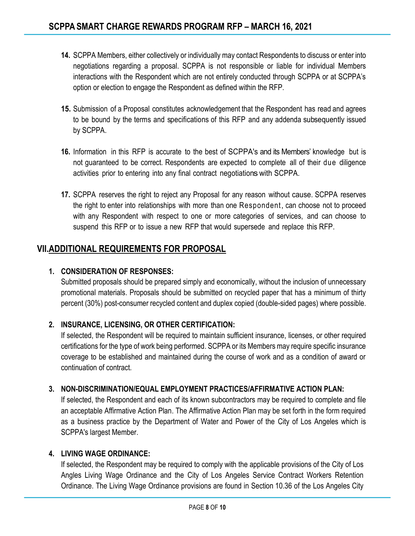- **14.** SCPPA Members, either collectively or individually may contact Respondents to discuss or enter into negotiations regarding a proposal. SCPPA is not responsible or liable for individual Members interactions with the Respondent which are not entirely conducted through SCPPA or at SCPPA's option or election to engage the Respondent as defined within the RFP.
- **15.** Submission of a Proposal constitutes acknowledgement that the Respondent has read and agrees to be bound by the terms and specifications of this RFP and any addenda subsequently issued by SCPPA.
- **16.** Information in this RFP is accurate to the best of SCPPA's and its Members' knowledge but is not guaranteed to be correct. Respondents are expected to complete all of their due diligence activities prior to entering into any final contract negotiationswith SCPPA.
- **17.** SCPPA reserves the right to reject any Proposal for any reason without cause. SCPPA reserves the right to enter into relationships with more than one Respondent, can choose not to proceed with any Respondent with respect to one or more categories of services, and can choose to suspend this RFP or to issue a new RFP that would supersede and replace this RFP.

### **VII.ADDITIONAL REQUIREMENTS FOR PROPOSAL**

#### **1. CONSIDERATION OF RESPONSES:**

Submitted proposals should be prepared simply and economically, without the inclusion of unnecessary promotional materials. Proposals should be submitted on recycled paper that has a minimum of thirty percent (30%) post-consumer recycled content and duplex copied (double-sided pages) where possible.

#### **2. INSURANCE, LICENSING, OR OTHER CERTIFICATION:**

If selected, the Respondent will be required to maintain sufficient insurance, licenses, or other required certifications for the type of work being performed. SCPPA or its Members may require specific insurance coverage to be established and maintained during the course of work and as a condition of award or continuation of contract.

#### **3. NON-DISCRIMINATION/EQUAL EMPLOYMENT PRACTICES/AFFIRMATIVE ACTION PLAN:**

If selected, the Respondent and each of its known subcontractors may be required to complete and file an acceptable Affirmative Action Plan. The Affirmative Action Plan may be set forth in the form required as a business practice by the Department of Water and Power of the City of Los Angeles which is SCPPA's largest Member.

#### **4. LIVING WAGE ORDINANCE:**

If selected, the Respondent may be required to comply with the applicable provisions of the City of Los Angles Living Wage Ordinance and the City of Los Angeles Service Contract Workers Retention Ordinance. The Living Wage Ordinance provisions are found in Section 10.36 of the Los Angeles City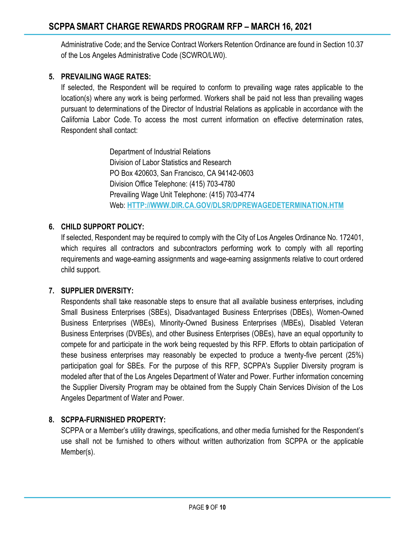Administrative Code; and the Service Contract Workers Retention Ordinance are found in Section 10.37 of the Los Angeles Administrative Code (SCWRO/LW0).

#### **5. PREVAILING WAGE RATES:**

If selected, the Respondent will be required to conform to prevailing wage rates applicable to the location(s) where any work is being performed. Workers shall be paid not less than prevailing wages pursuant to determinations of the Director of Industrial Relations as applicable in accordance with the California Labor Code. To access the most current information on effective determination rates, Respondent shall contact:

> Department of Industrial Relations Division of Labor Statistics and Research PO Box 420603, San Francisco, CA 94142-0603 Division Office Telephone: (415) 703-4780 Prevailing Wage Unit Telephone: (415) 703-4774 Web: **[HTTP://WWW.DIR.CA.GOV/DLSR/DPREWAGEDETERMINATION.HTM](http://www.dir.ca.gov/dlsr/DPreWageDetermination.htm)**

#### **6. CHILD SUPPORT POLICY:**

If selected, Respondent may be required to comply with the City of Los Angeles Ordinance No. 172401, which requires all contractors and subcontractors performing work to comply with all reporting requirements and wage-earning assignments and wage-earning assignments relative to court ordered child support.

#### **7. SUPPLIER DIVERSITY:**

Respondents shall take reasonable steps to ensure that all available business enterprises, including Small Business Enterprises (SBEs), Disadvantaged Business Enterprises (DBEs), Women-Owned Business Enterprises (WBEs), Minority-Owned Business Enterprises (MBEs), Disabled Veteran Business Enterprises (DVBEs), and other Business Enterprises (OBEs), have an equal opportunity to compete for and participate in the work being requested by this RFP. Efforts to obtain participation of these business enterprises may reasonably be expected to produce a twenty-five percent (25%) participation goal for SBEs. For the purpose of this RFP, SCPPA's Supplier Diversity program is modeled after that of the Los Angeles Department of Water and Power. Further information concerning the Supplier Diversity Program may be obtained from the Supply Chain Services Division of the Los Angeles Department of Water and Power.

#### **8. SCPPA-FURNISHED PROPERTY:**

SCPPA or a Member's utility drawings, specifications, and other media furnished for the Respondent's use shall not be furnished to others without written authorization from SCPPA or the applicable Member(s).